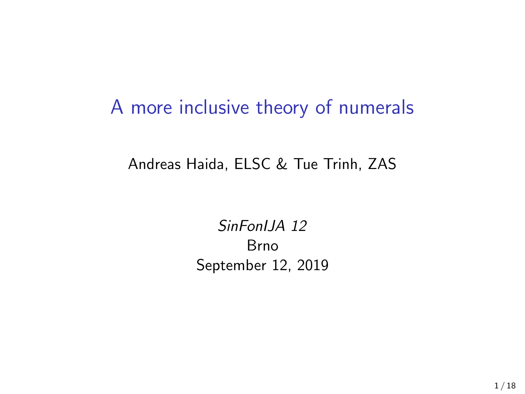#### A more inclusive theory of numerals

#### Andreas Haida, ELSC & Tue Trinh, ZAS

*SinFonIJA 12* Brno September 12, 2019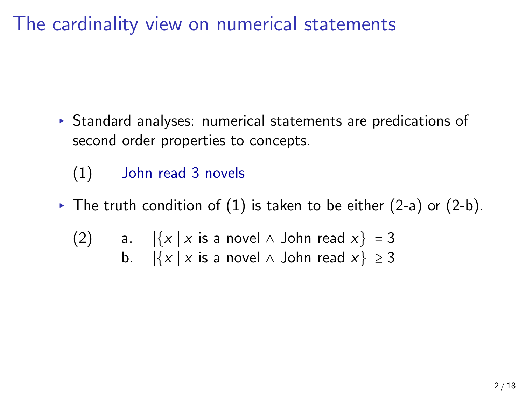# The cardinality view on numerical statements

- ▸ Standard analyses: numerical statements are predications of second order properties to concepts.
	- (1) John read 3 novels
- $\triangleright$  The truth condition of  $(1)$  is taken to be either  $(2-a)$  or  $(2-b)$ .
	- (2) a.  $|\{x \mid x \text{ is a novel } \land \text{ John read } x\}| = 3$ <br>b.  $|\{x \mid x \text{ is a novel } \land \text{ John read } x\}| \ge 3$  $|\{x \mid x \text{ is a novel } \land \text{ John read } x\}| \geq 3$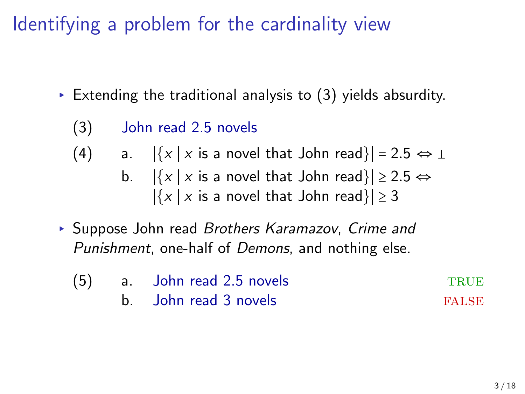# Identifying a problem for the cardinality view

- $\triangleright$  Extending the traditional analysis to (3) yields absurdity.
	- (3) John read 2.5 novels
	- (4) a.  $|\{x \mid x \text{ is a novel that John read}\}| = 2.5 \Leftrightarrow \bot$ <br>b.  $|\{x \mid x \text{ is a novel that John read}\}| \ge 2.5 \Leftrightarrow$ 
		- $|\{x \mid x \text{ is a novel that John read}\}|$  ≥ 2.5 ⇔  $|\{x \mid x \text{ is a novel that John read}\}|$  ≥ 3
- ▸ Suppose John read *Brothers Karamazov*, *Crime and Punishment*, one-half of *Demons*, and nothing else.

| (5) | a. John read 2.5 novels | <b>TRUE</b>  |
|-----|-------------------------|--------------|
|     | b. John read 3 novels   | <b>FALSE</b> |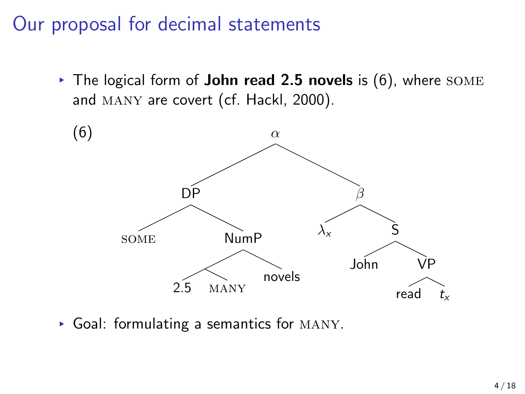# Our proposal for decimal statements

▸ The logical form of **John read 2.5 novels** is (6), where some and MANY are covert (cf. Hackl, 2000).



▸ Goal: formulating a semantics for many.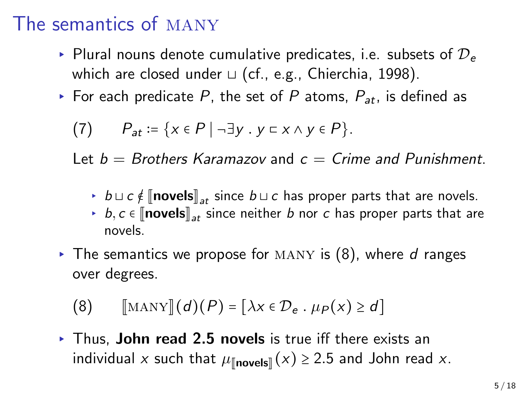#### The semantics of many

- ▸ Plural nouns denote cumulative predicates, i.e. subsets of D*<sup>e</sup>* which are closed under ⊔ (cf., e.g., Chierchia, 1998).
- ▸ For each predicate *P*, the set of *P* atoms, *Pat*, is defined as

$$
(7) \qquad P_{at} := \{x \in P \mid \neg \exists y \, . \, y \subset x \land y \in P\}.
$$

Let *b* = *Brothers Karamazov* and *c* = *Crime and Punishment*.

- ► *b*  $\sqcup$  *c*  $\notin$   $\lVert$ **novels** $\rVert_{at}$  since *b*  $\sqcup$  *c* has proper parts that are novels.
- $\rightarrow$  *b*, *c* ∈  $\lceil$ **novels** $\rceil_{at}$  since neither *b* nor *c* has proper parts that are novels.
- ▸ The semantics we propose for many is (8), where *d* ranges over degrees.

$$
(8) \qquad [\text{MANY}](d)(P) = [\lambda x \in \mathcal{D}_e \cdot \mu_P(x) \ge d]
$$

▸ Thus, **John read 2.5 novels** is true iff there exists an individual *x* such that  $\mu_{\text{Inovels}}(x) \geq 2.5$  and John read *x*.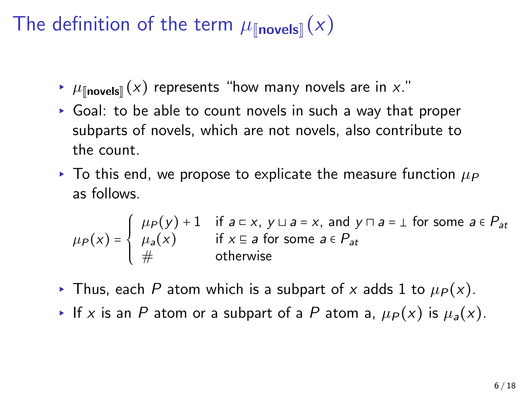## The definition of the term  $\mu_{\text{Inovels}}(x)$

- $\blacktriangleright$   $\mu_{\llbracket \text{novels} \rrbracket}(x)$  represents "how many novels are in x."
- ▸ Goal: to be able to count novels in such a way that proper subparts of novels, which are not novels, also contribute to the count.
- $\triangleright$  To this end, we propose to explicate the measure function  $\mu_P$ as follows.

$$
\mu_P(x) = \begin{cases} \mu_P(y) + 1 & \text{if } a \subset x, \ y \sqcup a = x, \text{ and } y \cap a = \bot \text{ for some } a \in P_{at} \\ \mu_a(x) & \text{if } x \subseteq a \text{ for some } a \in P_{at} \\ \# & \text{otherwise} \end{cases}
$$

- ▶ Thus, each P atom which is a subpart of *x* adds 1 to  $\mu_P(x)$ .
- ▶ If *x* is an *P* atom or a subpart of a *P* atom a,  $\mu_P(x)$  is  $\mu_a(x)$ .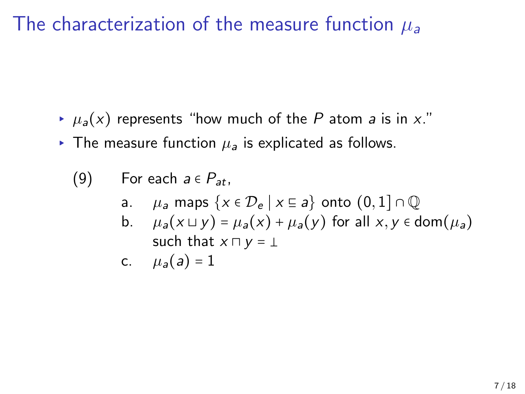The characterization of the measure function *µ<sup>a</sup>*

- $\mu_a(x)$  represents "how much of the P atom *a* is in *x*."
- $\triangleright$  The measure function  $\mu_a$  is explicated as follows.

(9) For each 
$$
a \in P_{at}
$$
,

- a. *µ<sub>a</sub>* maps  $\{x \in \mathcal{D}_e \mid x \subseteq a\}$  onto  $(0,1] \cap \mathbb{Q}$
- b.  $\mu_a(x \sqcup y) = \mu_a(x) + \mu_a(y)$  for all  $x, y \in \text{dom}(\mu_a)$ such that  $x \sqcap y = \bot$

$$
c. \qquad \mu_a(a) = 1
$$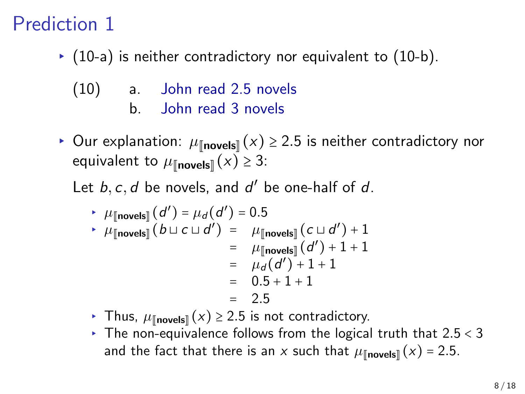#### Prediction 1

▸ (10-a) is neither contradictory nor equivalent to (10-b).

(10) a. John read 2.5 novels b. John read 3 novels

▶ Our explanation:  $\mu_{\llbracket \textbf{novels} \rrbracket}(x) \ge 2.5$  is neither contradictory nor equivalent to  $\mu_{\llbracket \text{novels} \rrbracket}(x) \geq 3$ :

Let  $b, c, d$  be novels, and  $d'$  be one-half of  $d$ .

► 
$$
\mu_{[\text{novels}]}(d') = \mu_d(d') = 0.5
$$
  
\n►  $\mu_{[\text{novels}]}(b \sqcup c \sqcup d') = \mu_{[\text{novels}]}(c \sqcup d') + 1$   
\n=  $\mu_{[\text{novels}]}(d') + 1 + 1$   
\n=  $\mu_d(d') + 1 + 1$   
\n= 0.5 + 1 + 1  
\n= 2.5

- $\cdot$  Thus,  $\mu_{\llbracket \text{novels} \rrbracket}(x) ≥ 2.5$  is not contradictory.
- ▸ The non-equivalence follows from the logical truth that 2*.*5 < 3 and the fact that there is an *x* such that  $\mu_{\text{[novels]}}(x) = 2.5$ .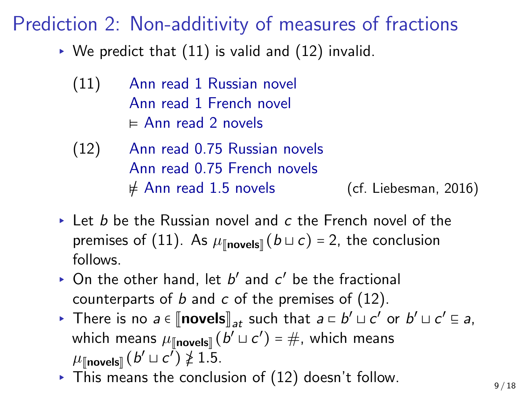#### Prediction 2: Non-additivity of measures of fractions

- $\triangleright$  We predict that (11) is valid and (12) invalid.
	- (11) Ann read 1 Russian novel Ann read 1 French novel ⊧ Ann read 2 novels
	- (12) Ann read 0.75 Russian novels Ann read 0.75 French novels  $\neq$  Ann read 1.5 novels (cf. Liebesman, 2016)
- ▸ Let *b* be the Russian novel and *c* the French novel of the premises of (11). As  $\mu_{\parallel \text{novels} \parallel}(b \sqcup c) = 2$ , the conclusion follows.
- $\triangleright$  On the other hand, let  $b'$  and  $c'$  be the fractional counterparts of *b* and *c* of the premises of (12).
- **Externe is no** *a* **∈**  $[\text{novels}]_{at}$  **such that**  $a \text{ }\subset b' \sqcup c'$  **or**  $b' \sqcup c' \subseteq a$ **,** which means  $\mu_{\llbracket \mathsf{novels} \rrbracket}(b' \sqcup c') = \#$ , which means  $\mu$ [novels]]  $(b' ⊔ c') \ngeq 1.5.$
- ▶ This means the conclusion of (12) doesn't follow.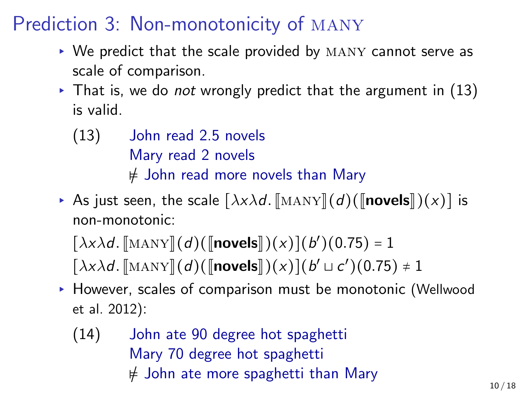#### Prediction 3: Non-monotonicity of many

- ▸ We predict that the scale provided by many cannot serve as scale of comparison.
- ▸ That is, we do *not* wrongly predict that the argument in (13) is valid.
	- (13) John read 2.5 novels Mary read 2 novels ⊧/ John read more novels than Mary
- ► As just seen, the scale  $\left[\frac{\lambda x \lambda d}{\lambda x \lambda y}\right](d)$ ( $\left[\text{novels}\right](x)$ ) is non-monotonic:

 $[\lambda x \lambda d$ .  $[\text{MANY}](d)$ ( $[\text{novels}](x)$ ) $(b')$ (0.75) = 1  $[\lambda x \lambda d$ .  $[\text{MANY}](d)([\text{novels}])(x)](b' \sqcup c')(0.75) \neq 1$ 

- ▸ However, scales of comparison must be monotonic (Wellwood et al. 2012):
	- (14) John ate 90 degree hot spaghetti Mary 70 degree hot spaghetti ⊧/ John ate more spaghetti than Mary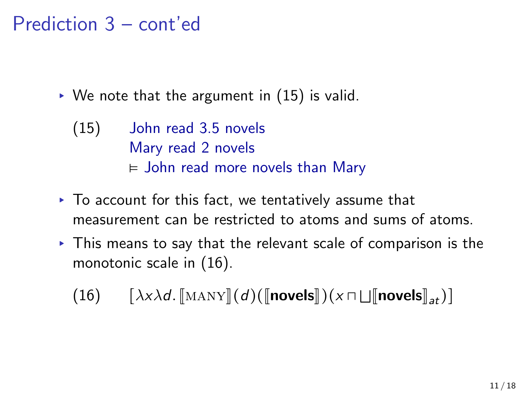### Prediction 3 – cont'ed

- $\triangleright$  We note that the argument in (15) is valid.
	- (15) John read 3.5 novels Mary read 2 novels ⊧ John read more novels than Mary
- ▸ To account for this fact, we tentatively assume that measurement can be restricted to atoms and sums of atoms.
- ▸ This means to say that the relevant scale of comparison is the monotonic scale in (16).

 $(16)$   $[\lambda x \lambda d$ *.*  $[\text{MANY}](d)([\text{novels}])(x \sqcap \sqcup [\text{novels}]_{at})]$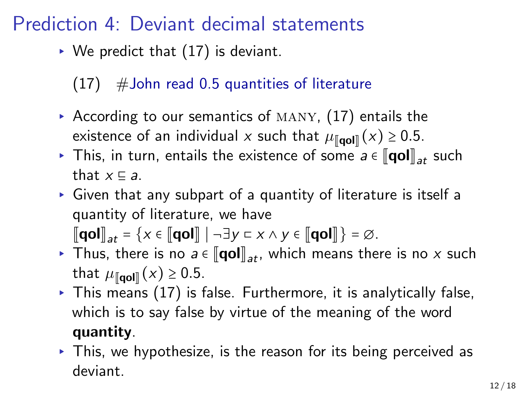#### Prediction 4: Deviant decimal statements

- $\triangleright$  We predict that  $(17)$  is deviant.
	- $(17)$  # John read 0.5 quantities of literature
- According to our semantics of  $MANY$ ,  $(17)$  entails the existence of an individual *x* such that  $\mu_{\llbracket \mathbf{qol} \rrbracket}(x) \ge 0.5$ .
- ▶ This, in turn, entails the existence of some  $a \in \llbracket \text{qol} \rrbracket_{at}$  such that  $x \nsubseteq a$ .
- ▸ Given that any subpart of a quantity of literature is itself a quantity of literature, we have

 $\llbracket \text{qol} \rrbracket_{at} = \{x \in \llbracket \text{qol} \rrbracket \mid \neg \exists y \sqsubset x \land y \in \llbracket \text{qol} \rrbracket \} = \varnothing.$ 

- ▸ Thus, there is no  $a \in [\![\text{qol}]\!]_{at}$ , which means there is no *x* such that  $\mu_{\llbracket \textbf{qol} \rrbracket}(x) \geq 0.5$ .
- $\triangleright$  This means (17) is false. Furthermore, it is analytically false, which is to say false by virtue of the meaning of the word **quantity**.
- ▸ This, we hypothesize, is the reason for its being perceived as deviant.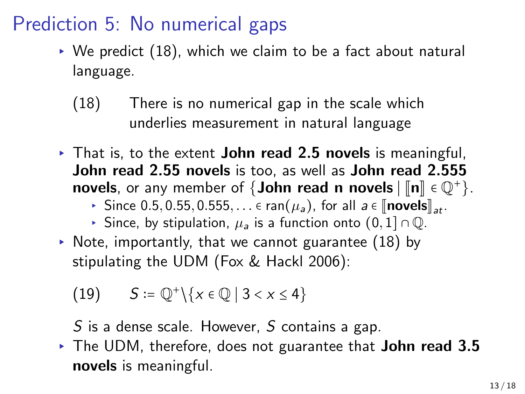#### Prediction 5: No numerical gaps

- $\triangleright$  We predict (18), which we claim to be a fact about natural language.
	- (18) There is no numerical gap in the scale which underlies measurement in natural language
- ▸ That is, to the extent **John read 2.5 novels** is meaningful, **John read 2.55 novels** is too, as well as **John read 2.555 novels**, or any member of  $\{John \text{ read } n \text{ novels} \mid [n] \in \mathbb{Q}^+\}.$ 
	- ▶ Since 0.5, 0.55, 0.555, . . . ∈ ran( $\mu_a$ ), for all  $a \in \llbracket \text{novels} \rrbracket_{at}$ .
	- ▸ Since, by stipulation, *<sup>µ</sup><sup>a</sup>* is a function onto (0*,* <sup>1</sup>] <sup>∩</sup> <sup>Q</sup>.
- $\triangleright$  Note, importantly, that we cannot guarantee (18) by stipulating the UDM (Fox & Hackl 2006):
	- (19) *S* :=  $\mathbb{Q}^+\backslash\{x \in \mathbb{Q} \mid 3 < x \le 4\}$
	- *S* is a dense scale. However, *S* contains a gap.
- ▸ The UDM, therefore, does not guarantee that **John read 3.5 novels** is meaningful.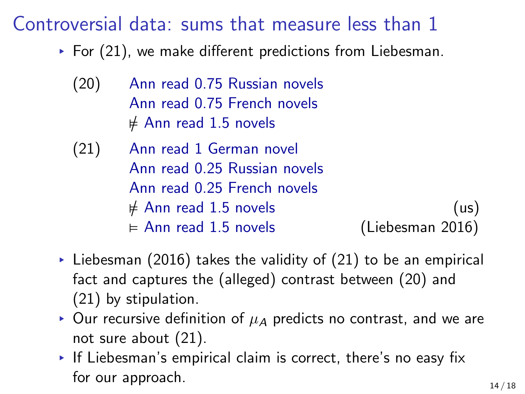#### Controversial data: sums that measure less than 1

- $\triangleright$  For (21), we make different predictions from Liebesman.
	- (20) Ann read 0.75 Russian novels Ann read 0.75 French novels ⊧/ Ann read 1.5 novels
	- (21) Ann read 1 German novel Ann read 0.25 Russian novels Ann read 0.25 French novels  $\neq$  Ann read 1.5 novels (us)<br>⊨ Ann read 1.5 novels (Liebesman 2016)  $\vDash$  Ann read 1.5 novels
- $\triangleright$  Liebesman (2016) takes the validity of (21) to be an empirical fact and captures the (alleged) contrast between (20) and (21) by stipulation.
- $▶$  Our recursive definition of  $\mu$ <sup>*A*</sup> predicts no contrast, and we are not sure about (21).
- ▸ If Liebesman's empirical claim is correct, there's no easy fix for our approach.  $14 / 18$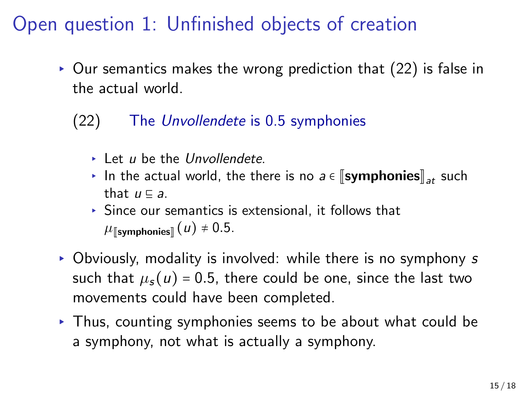# Open question 1: Unfinished objects of creation

- ▸ Our semantics makes the wrong prediction that (22) is false in the actual world.
	- (22) The *Unvollendete* is 0.5 symphonies
		- ▸ Let *u* be the *Unvollendete*.
		- ▸ In the actual world, the there is no  $a \in \llbracket \text{symphones} \rrbracket_{at}$  such that *u* ⊑ *a*.
		- ▸ Since our semantics is extensional, it follows that  $\mu$ [symphonies]]  $(u) \neq 0.5$ .
- ▸ Obviously, modality is involved: while there is no symphony *s* such that  $\mu_s(u) = 0.5$ , there could be one, since the last two movements could have been completed.
- ▸ Thus, counting symphonies seems to be about what could be a symphony, not what is actually a symphony.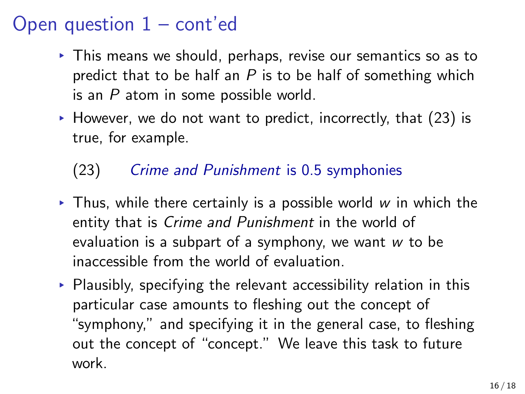#### Open question  $1 - \text{cont}'$ ed

- ▸ This means we should, perhaps, revise our semantics so as to predict that to be half an *P* is to be half of something which is an *P* atom in some possible world.
- $\triangleright$  However, we do not want to predict, incorrectly, that (23) is true, for example.
	- (23) *Crime and Punishment* is 0.5 symphonies
- ▸ Thus, while there certainly is a possible world *w* in which the entity that is *Crime and Punishment* in the world of evaluation is a subpart of a symphony, we want *w* to be inaccessible from the world of evaluation.
- $\triangleright$  Plausibly, specifying the relevant accessibility relation in this particular case amounts to fleshing out the concept of "symphony," and specifying it in the general case, to fleshing out the concept of "concept." We leave this task to future work.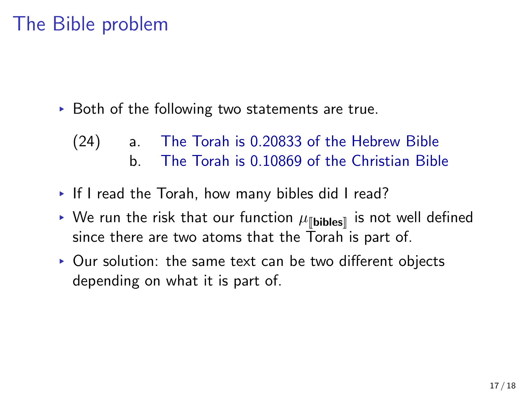#### The Bible problem

- ▸ Both of the following two statements are true.
	- (24) a. The Torah is 0.20833 of the Hebrew Bible b. The Torah is 0.10869 of the Christian Bible
- ▸ If I read the Torah, how many bibles did I read?
- $\triangleright$  We run the risk that our function  $\mu_{\llbracket \mathbf{b} \mathbf{b} \mathbf{b} \mathbf{s} \rrbracket}$  is not well defined since there are two atoms that the Torah is part of.
- ▸ Our solution: the same text can be two different objects depending on what it is part of.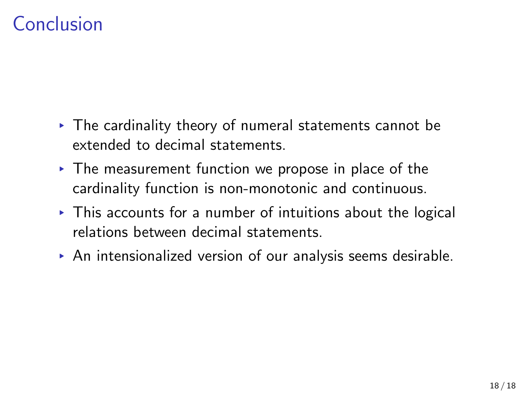### Conclusion

- ▸ The cardinality theory of numeral statements cannot be extended to decimal statements.
- $\triangleright$  The measurement function we propose in place of the cardinality function is non-monotonic and continuous.
- $\triangleright$  This accounts for a number of intuitions about the logical relations between decimal statements.
- ▸ An intensionalized version of our analysis seems desirable.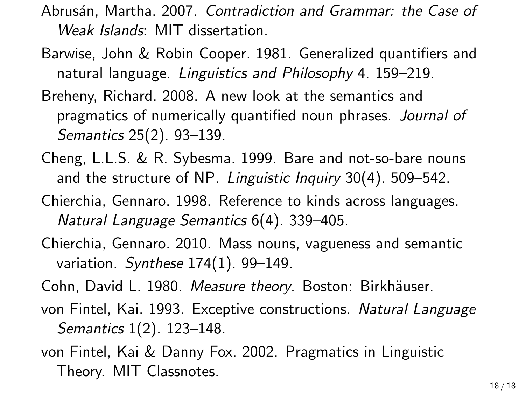- Abrus´an, Martha. 2007. *Contradiction and Grammar: the Case of Weak Islands*: MIT dissertation.
- Barwise, John & Robin Cooper. 1981. Generalized quantifiers and natural language. *Linguistics and Philosophy* 4. 159–219.
- Breheny, Richard. 2008. A new look at the semantics and pragmatics of numerically quantified noun phrases. *Journal of Semantics* 25(2). 93–139.
- Cheng, L.L.S. & R. Sybesma. 1999. Bare and not-so-bare nouns and the structure of NP. *Linguistic Inquiry* 30(4). 509–542.
- Chierchia, Gennaro. 1998. Reference to kinds across languages. *Natural Language Semantics* 6(4). 339–405.
- Chierchia, Gennaro. 2010. Mass nouns, vagueness and semantic variation. *Synthese* 174(1). 99–149.
- Cohn, David L. 1980. Measure theory. Boston: Birkhäuser.
- von Fintel, Kai. 1993. Exceptive constructions. *Natural Language Semantics* 1(2). 123–148.
- von Fintel, Kai & Danny Fox. 2002. Pragmatics in Linguistic Theory. MIT Classnotes.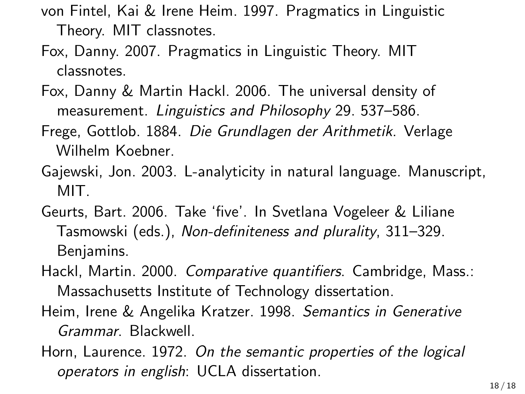- von Fintel, Kai & Irene Heim. 1997. Pragmatics in Linguistic Theory. MIT classnotes.
- Fox, Danny. 2007. Pragmatics in Linguistic Theory. MIT classnotes.
- Fox, Danny & Martin Hackl. 2006. The universal density of measurement. *Linguistics and Philosophy* 29. 537–586.
- Frege, Gottlob. 1884. *Die Grundlagen der Arithmetik*. Verlage Wilhelm Koebner.
- Gajewski, Jon. 2003. L-analyticity in natural language. Manuscript, MIT.
- Geurts, Bart. 2006. Take 'five'. In Svetlana Vogeleer & Liliane Tasmowski (eds.), *Non-definiteness and plurality*, 311–329. Benjamins.
- Hackl, Martin. 2000. *Comparative quantifiers*. Cambridge, Mass.: Massachusetts Institute of Technology dissertation.
- Heim, Irene & Angelika Kratzer. 1998. *Semantics in Generative Grammar*. Blackwell.
- Horn, Laurence. 1972. *On the semantic properties of the logical operators in english*: UCLA dissertation.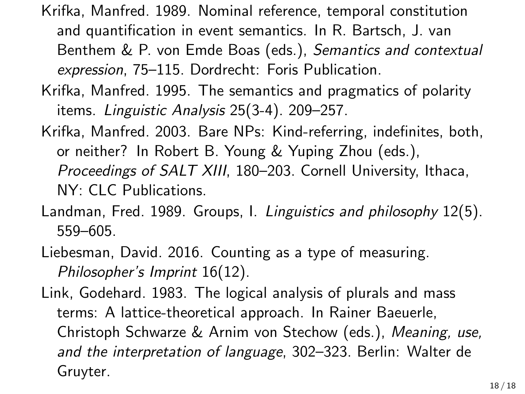- Krifka, Manfred. 1989. Nominal reference, temporal constitution and quantification in event semantics. In R. Bartsch, J. van Benthem & P. von Emde Boas (eds.), *Semantics and contextual expression*, 75–115. Dordrecht: Foris Publication.
- Krifka, Manfred. 1995. The semantics and pragmatics of polarity items. *Linguistic Analysis* 25(3-4). 209–257.
- Krifka, Manfred. 2003. Bare NPs: Kind-referring, indefinites, both, or neither? In Robert B. Young & Yuping Zhou (eds.), *Proceedings of SALT XIII*, 180–203. Cornell University, Ithaca, NY: CLC Publications.
- Landman, Fred. 1989. Groups, I. *Linguistics and philosophy* 12(5). 559–605.
- Liebesman, David. 2016. Counting as a type of measuring. *Philosopher's Imprint* 16(12).
- Link, Godehard. 1983. The logical analysis of plurals and mass terms: A lattice-theoretical approach. In Rainer Baeuerle, Christoph Schwarze & Arnim von Stechow (eds.), *Meaning, use, and the interpretation of language*, 302–323. Berlin: Walter de Gruyter.